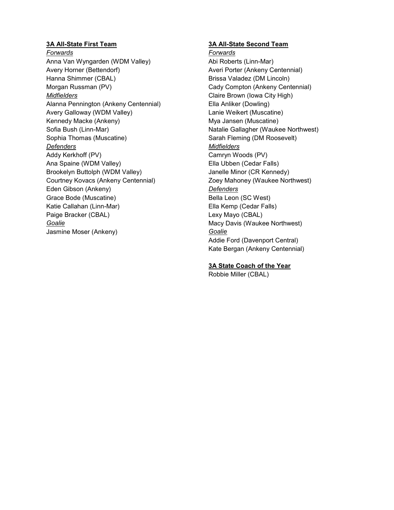## **3A All-State First Team**

*Forwards* Anna Van Wyngarden (WDM Valley) Avery Horner (Bettendorf) Hanna Shimmer (CBAL) Morgan Russman (PV) *Midfielders* Alanna Pennington (Ankeny Centennial) Avery Galloway (WDM Valley) Kennedy Macke (Ankeny) Sofia Bush (Linn-Mar) Sophia Thomas (Muscatine) *Defenders* Addy Kerkhoff (PV) Ana Spaine (WDM Valley) Brookelyn Buttolph (WDM Valley) Courtney Kovacs (Ankeny Centennial) Eden Gibson (Ankeny) Grace Bode (Muscatine) Katie Callahan (Linn-Mar) Paige Bracker (CBAL) *Goalie* Jasmine Moser (Ankeny)

## **3A All-State Second Team**

*Forwards* Abi Roberts (Linn-Mar) Averi Porter (Ankeny Centennial) Brissa Valadez (DM Lincoln) Cady Compton (Ankeny Centennial) Claire Brown (Iowa City High) Ella Anliker (Dowling) Lanie Weikert (Muscatine) Mya Jansen (Muscatine) Natalie Gallagher (Waukee Northwest) Sarah Fleming (DM Roosevelt) *Midfielders* Camryn Woods (PV) Ella Ubben (Cedar Falls) Janelle Minor (CR Kennedy) Zoey Mahoney (Waukee Northwest) *Defenders* Bella Leon (SC West) Ella Kemp (Cedar Falls) Lexy Mayo (CBAL) Macy Davis (Waukee Northwest) *Goalie* Addie Ford (Davenport Central) Kate Bergan (Ankeny Centennial)

# **3A State Coach of the Year**

Robbie Miller (CBAL)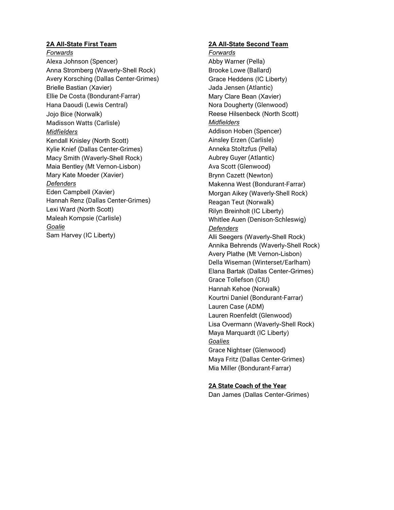# **2A All-State First Team**

#### *Forwards*

Alexa Johnson (Spencer) Anna Stromberg (Waverly-Shell Rock) Avery Korsching (Dallas Center-Grimes) Brielle Bastian (Xavier) Ellie De Costa (Bondurant-Farrar) Hana Daoudi (Lewis Central) Jojo Bice (Norwalk) Madisson Watts (Carlisle) *Midfielders* Kendall Knisley (North Scott) Kylie Knief (Dallas Center-Grimes) Macy Smith (Waverly-Shell Rock) Maia Bentley (Mt Vernon-Lisbon) Mary Kate Moeder (Xavier) *Defenders* Eden Campbell (Xavier) Hannah Renz (Dallas Center-Grimes) Lexi Ward (North Scott) Maleah Kompsie (Carlisle) *Goalie* Sam Harvey (IC Liberty)

## **2A All-State Second Team**

*Forwards* Abby Warner (Pella) Brooke Lowe (Ballard) Grace Heddens (IC Liberty) Jada Jensen (Atlantic) Mary Clare Bean (Xavier) Nora Dougherty (Glenwood) Reese Hilsenbeck (North Scott) *Midfielders* Addison Hoben (Spencer) Ainsley Erzen (Carlisle) Anneka Stoltzfus (Pella) Aubrey Guyer (Atlantic) Ava Scott (Glenwood) Brynn Cazett (Newton) Makenna West (Bondurant-Farrar) Morgan Aikey (Waverly-Shell Rock) Reagan Teut (Norwalk) Rilyn Breinholt (IC Liberty) Whitlee Auen (Denison-Schleswig) *Defenders* Alli Seegers (Waverly-Shell Rock) Annika Behrends (Waverly-Shell Rock) Avery Plathe (Mt Vernon-Lisbon) Della Wiseman (Winterset/Earlham) Elana Bartak (Dallas Center-Grimes) Grace Tollefson (CIU) Hannah Kehoe (Norwalk) Kourtni Daniel (Bondurant-Farrar) Lauren Case (ADM) Lauren Roenfeldt (Glenwood) Lisa Overmann (Waverly-Shell Rock) Maya Marquardt (IC Liberty) *Goalies* Grace Nightser (Glenwood) Maya Fritz (Dallas Center-Grimes) Mia Miller (Bondurant-Farrar)

# **2A State Coach of the Year**

Dan James (Dallas Center-Grimes)